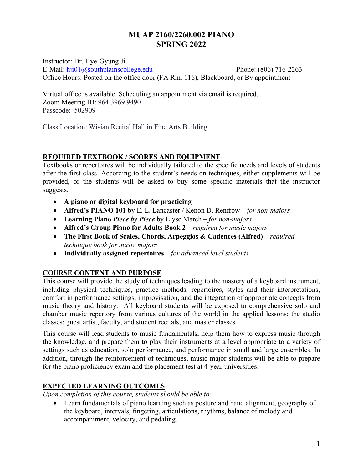# **MUAP 2160/2260.002 PIANO SPRING 2022**

Instructor: Dr. Hye-Gyung Ji E-Mail: hji01@southplainscollege.edu Phone: (806) 716-2263 Office Hours: Posted on the office door (FA Rm. 116), Blackboard, or By appointment

Virtual office is available. Scheduling an appointment via email is required. Zoom Meeting ID: 964 3969 9490 Passcode: 502909

Class Location: Wisian Recital Hall in Fine Arts Building

#### **REQUIRED TEXTBOOK / SCORES AND EQUIPMENT**

Textbooks or repertoires will be individually tailored to the specific needs and levels of students after the first class. According to the student's needs on techniques, either supplements will be provided, or the students will be asked to buy some specific materials that the instructor suggests.

- **A piano or digital keyboard for practicing**
- **Alfred's PIANO 101** by E. L. Lancaster / Kenon D. Renfrow *for non-majors*
- **Learning Piano** *Piece by Piece* by Elyse March *for non-majors*
- **Alfred's Group Piano for Adults Book 2** *required for music majors*
- **The First Book of Scales, Chords, Arpeggios & Cadences (Alfred)** *required technique book for music majors*
- **Individually assigned repertoires**  *for advanced level students*

## **COURSE CONTENT AND PURPOSE**

This course will provide the study of techniques leading to the mastery of a keyboard instrument, including physical techniques, practice methods, repertoires, styles and their interpretations, comfort in performance settings, improvisation, and the integration of appropriate concepts from music theory and history. All keyboard students will be exposed to comprehensive solo and chamber music repertory from various cultures of the world in the applied lessons; the studio classes; guest artist, faculty, and student recitals; and master classes.

This course will lead students to music fundamentals, help them how to express music through the knowledge, and prepare them to play their instruments at a level appropriate to a variety of settings such as education, solo performance, and performance in small and large ensembles. In addition, through the reinforcement of techniques, music major students will be able to prepare for the piano proficiency exam and the placement test at 4-year universities.

## **EXPECTED LEARNING OUTCOMES**

*Upon completion of this course, students should be able to:* 

• Learn fundamentals of piano learning such as posture and hand alignment, geography of the keyboard, intervals, fingering, articulations, rhythms, balance of melody and accompaniment, velocity, and pedaling.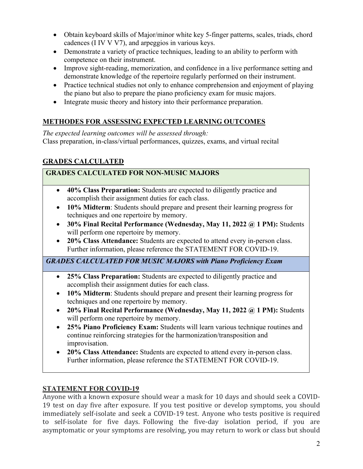- Obtain keyboard skills of Major/minor white key 5-finger patterns, scales, triads, chord cadences (I IV V V7), and arpeggios in various keys.
- Demonstrate a variety of practice techniques, leading to an ability to perform with competence on their instrument.
- Improve sight-reading, memorization, and confidence in a live performance setting and demonstrate knowledge of the repertoire regularly performed on their instrument.
- Practice technical studies not only to enhance comprehension and enjoyment of playing the piano but also to prepare the piano proficiency exam for music majors.
- Integrate music theory and history into their performance preparation.

# **METHODES FOR ASSESSING EXPECTED LEARNING OUTCOMES**

*The expected learning outcomes will be assessed through:* Class preparation, in-class/virtual performances, quizzes, exams, and virtual recital

# **GRADES CALCULATED**

## **GRADES CALCULATED FOR NON-MUSIC MAJORS**

- **40% Class Preparation:** Students are expected to diligently practice and accomplish their assignment duties for each class.
- **10% Midterm**: Students should prepare and present their learning progress for techniques and one repertoire by memory.
- **30% Final Recital Performance (Wednesday, May 11, 2022 @ 1 PM):** Students will perform one repertoire by memory.
- **20% Class Attendance:** Students are expected to attend every in-person class. Further information, please reference the STATEMENT FOR COVID-19.

*GRADES CALCULATED FOR MUSIC MAJORS with Piano Proficiency Exam* 

- **25% Class Preparation:** Students are expected to diligently practice and accomplish their assignment duties for each class.
- **10% Midterm**: Students should prepare and present their learning progress for techniques and one repertoire by memory.
- **20% Final Recital Performance (Wednesday, May 11, 2022 @ 1 PM):** Students will perform one repertoire by memory.
- **25% Piano Proficiency Exam:** Students will learn various technique routines and continue reinforcing strategies for the harmonization/transposition and improvisation.
- **20% Class Attendance:** Students are expected to attend every in-person class. Further information, please reference the STATEMENT FOR COVID-19.

## **STATEMENT FOR COVID-19**

Anyone with a known exposure should wear a mask for 10 days and should seek a COVID-19 test on day five after exposure. If you test positive or develop symptoms, you should immediately self-isolate and seek a COVID-19 test. Anyone who tests positive is required to self-isolate for five days. Following the five-day isolation period, if you are asymptomatic or your symptoms are resolving, you may return to work or class but should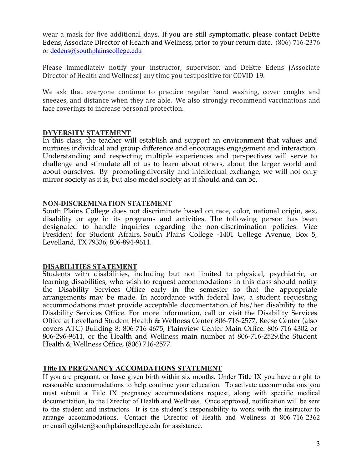wear a mask for five additional days. If you are still symptomatic, please contact DeEtte Edens, Associate Director of Health and Wellness, prior to your return date. (806) 716-2376 or dedens@southplainscollege.edu

Please immediately notify your instructor, supervisor, and DeEtte Edens (Associate Director of Health and Wellness) any time you test positive for COVID-19.

We ask that everyone continue to practice regular hand washing, cover coughs and sneezes, and distance when they are able. We also strongly recommend vaccinations and face coverings to increase personal protection.

#### **DYVERSITY STATEMENT**

In this class, the teacher will establish and support an environment that values and nurtures individual and group difference and encourages engagement and interaction. Understanding and respecting multiple experiences and perspectives will serve to challenge and stimulate all of us to learn about others, about the larger world and about ourselves. By promotingdiversity and intellectual exchange, we will not only mirror society as it is, but also model society as it should and can be.

#### **NON-DISCREMINATION STATEMENT**

South Plains College does not discriminate based on race, color, national origin, sex, disability or age in its programs and activities. The following person has been designated to handle inquiries regarding the non-discrimination policies: Vice President for Student Affairs, South Plains College -1401 College Avenue, Box 5, Levelland, TX 79336, 806-894-9611.

#### **DISABILITIES STATEMENT**

Students with disabilities, including but not limited to physical, psychiatric, or learning disabilities, who wish to request accommodations in this class should notify the Disability Services Office early in the semester so that the appropriate arrangements may be made. In accordance with federal law, a student requesting accommodations must provide acceptable documentation of his/her disability to the Disability Services Office. For more information, call or visit the Disability Services Office at Levelland Student Health & Wellness Center 806-716-2577, Reese Center (also covers ATC) Building 8: 806-716-4675, Plainview Center Main Office: 806-716 4302 or 806-296-9611, or the Health and Wellness main number at 806-716-2529.the Student Health & Wellness Office, (806) 716-2577.

#### **Title IX PREGNANCY ACCOMDATIONS STATEMENT**

If you are pregnant, or have given birth within six months, Under Title IX you have a right to reasonable accommodations to help continue your education. To activate accommodations you must submit a Title IX pregnancy accommodations request, along with specific medical documentation, to the Director of Health and Wellness. Once approved, notification will be sent to the student and instructors. It is the student's responsibility to work with the instructor to arrange accommodations. Contact the Director of Health and Wellness at 806-716-2362 or email cgilster@southplainscollege.edu for assistance.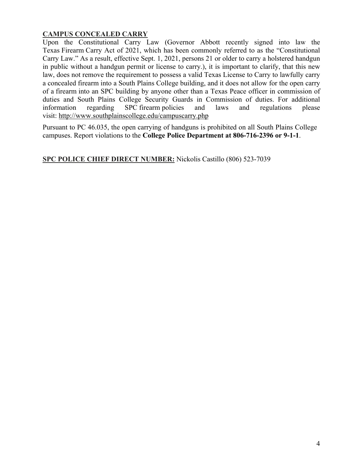## **CAMPUS CONCEALED CARRY**

Upon the Constitutional Carry Law (Governor Abbott recently signed into law the Texas Firearm Carry Act of 2021, which has been commonly referred to as the "Constitutional Carry Law." As a result, effective Sept. 1, 2021, persons 21 or older to carry a holstered handgun in public without a handgun permit or license to carry.), it is important to clarify, that this new law, does not remove the requirement to possess a valid Texas License to Carry to lawfully carry a concealed firearm into a South Plains College building, and it does not allow for the open carry of a firearm into an SPC building by anyone other than a Texas Peace officer in commission of duties and South Plains College Security Guards in Commission of duties. For additional information regarding SPC firearm policies and laws and regulations please visit: http://www.southplainscollege.edu/campuscarry.php

Pursuant to PC 46.035, the open carrying of handguns is prohibited on all South Plains College campuses. Report violations to the **College Police Department at 806-716-2396 or 9-1-1**.

**SPC POLICE CHIEF DIRECT NUMBER:** Nickolis Castillo (806) 523-7039